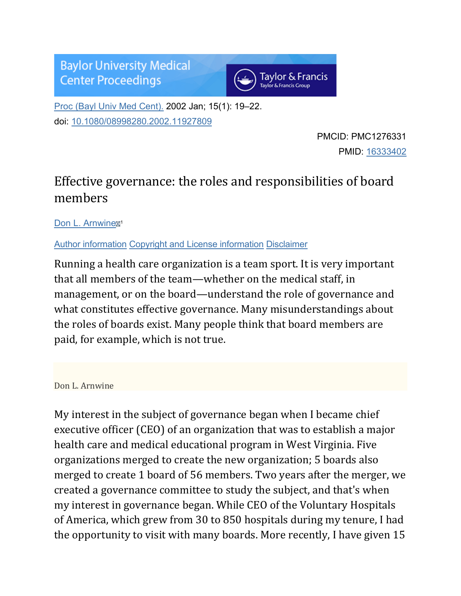**Baylor University Medical Center Proceedings** 



[Proc \(Bayl Univ Med Cent\).](https://www.ncbi.nlm.nih.gov/pmc/articles/PMC1276331/) 2002 Jan; 15(1): 19–22. doi: [10.1080/08998280.2002.11927809](https://dx.doi.org/10.1080%2F08998280.2002.11927809)

> PMCID: PMC1276331 PMID: [16333402](https://www.ncbi.nlm.nih.gov/pubmed/16333402)

## Effective governance: the roles and responsibilities of board members

[Don L. Arnwine](https://www.ncbi.nlm.nih.gov/pubmed/?term=Arnwine%20DL%5BAuthor%5D&cauthor=true&cauthor_uid=16333402)

[Author information](https://www.ncbi.nlm.nih.gov/pmc/articles/PMC1276331/) [Copyright and License information](https://www.ncbi.nlm.nih.gov/pmc/articles/PMC1276331/) [Disclaimer](https://www.ncbi.nlm.nih.gov/pmc/about/disclaimer/)

Running a health care organization is a team sport. It is very important that all members of the team—whether on the medical staff, in management, or on the board—understand the role of governance and what constitutes effective governance. Many misunderstandings about the roles of boards exist. Many people think that board members are paid, for example, which is not true.

## Don L. Arnwine

My interest in the subject of governance began when I became chief executive officer (CEO) of an organization that was to establish a major health care and medical educational program in West Virginia. Five organizations merged to create the new organization; 5 boards also merged to create 1 board of 56 members. Two years after the merger, we created a governance committee to study the subject, and that's when my interest in governance began. While CEO of the Voluntary Hospitals of America, which grew from 30 to 850 hospitals during my tenure, I had the opportunity to visit with many boards. More recently, I have given 15